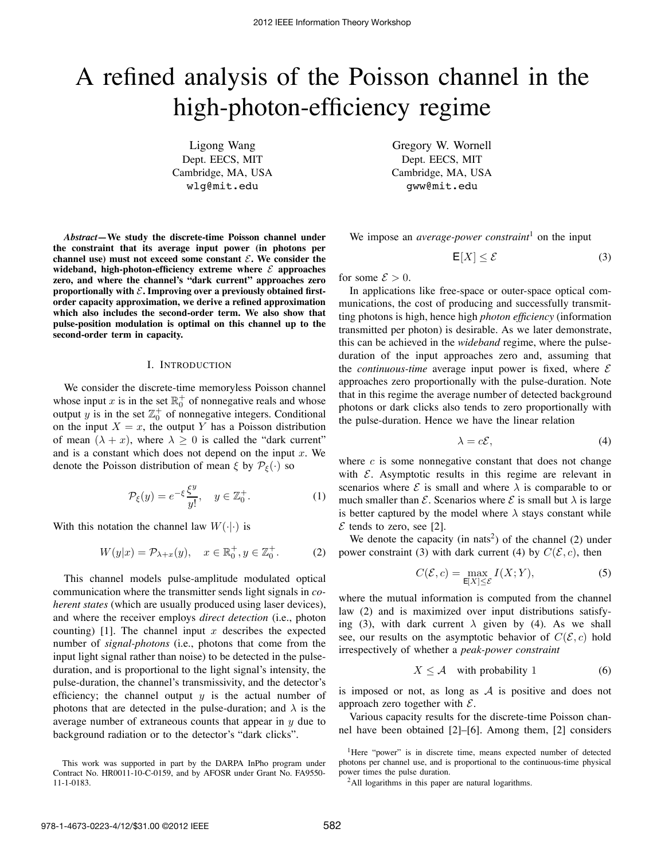# A refined analysis of the Poisson channel in the high-photon-efficiency regime

Ligong Wang Dept. EECS, MIT Cambridge, MA, USA wlg@mit.edu

*Abstract***—We study the discrete-time Poisson channel under the constraint that its average input power (in photons per** channel use) must not exceed some constant  $\mathcal{E}$ . We consider the wideband, high-photon-efficiency extreme where  $\mathcal{E}$  approaches **zero, and where the channel's "dark current" approaches zero** proportionally with  $\mathcal{E}$ **.** Improving over a previously obtained first**order capacity approximation, we derive a refined approximation which also includes the second-order term. We also show that pulse-position modulation is optimal on this channel up to the second-order term in capacity.**

# I. INTRODUCTION

We consider the discrete-time memoryless Poisson channel whose input x is in the set  $\mathbb{R}^+_0$  of nonnegative reals and whose output y is in the set  $\mathbb{Z}_0^+$  of nonnegative integers. Conditional on the input  $X = x$ , the output Y has a Poisson distribution of mean  $(\lambda + x)$ , where  $\lambda \ge 0$  is called the "dark current" and is a constant which does not depend on the input  $x$ . We denote the Poisson distribution of mean  $\xi$  by  $\mathcal{P}_{\xi}(\cdot)$  so

$$
\mathcal{P}_{\xi}(y) = e^{-\xi} \frac{\xi^y}{y!}, \quad y \in \mathbb{Z}_0^+.
$$
 (1)

With this notation the channel law  $W(\cdot|\cdot)$  is

$$
W(y|x) = \mathcal{P}_{\lambda+x}(y), \quad x \in \mathbb{R}_0^+, y \in \mathbb{Z}_0^+.
$$
 (2)

This channel models pulse-amplitude modulated optical communication where the transmitter sends light signals in *coherent states* (which are usually produced using laser devices), and where the receiver employs *direct detection* (i.e., photon counting) [1]. The channel input x describes the expected number of *signal-photons* (i.e., photons that come from the input light signal rather than noise) to be detected in the pulseduration, and is proportional to the light signal's intensity, the pulse-duration, the channel's transmissivity, and the detector's efficiency; the channel output  $y$  is the actual number of photons that are detected in the pulse-duration; and  $\lambda$  is the average number of extraneous counts that appear in  $y$  due to background radiation or to the detector's "dark clicks".

Gregory W. Wornell Dept. EECS, MIT Cambridge, MA, USA gww@mit.edu

We impose an *average-power constraint*<sup>1</sup> on the input

$$
\mathsf{E}[X] \le \mathcal{E} \tag{3}
$$

for some  $\mathcal{E} > 0$ .

In applications like free-space or outer-space optical communications, the cost of producing and successfully transmitting photons is high, hence high *photon efficiency* (information transmitted per photon) is desirable. As we later demonstrate, this can be achieved in the *wideband* regime, where the pulseduration of the input approaches zero and, assuming that the *continuous-time* average input power is fixed, where  $\mathcal E$ approaches zero proportionally with the pulse-duration. Note that in this regime the average number of detected background photons or dark clicks also tends to zero proportionally with the pulse-duration. Hence we have the linear relation

$$
\lambda = c\mathcal{E},\tag{4}
$$

where  $c$  is some nonnegative constant that does not change with  $\mathcal E$ . Asymptotic results in this regime are relevant in scenarios where  $\mathcal E$  is small and where  $\lambda$  is comparable to or much smaller than  $\mathcal E$ . Scenarios where  $\mathcal E$  is small but  $\lambda$  is large is better captured by the model where  $\lambda$  stays constant while  $\mathcal E$  tends to zero, see [2].

We denote the capacity (in nats<sup>2</sup>) of the channel  $(2)$  under power constraint (3) with dark current (4) by  $C(\mathcal{E}, c)$ , then

$$
C(\mathcal{E}, c) = \max_{\mathsf{E}[X] \le \mathcal{E}} I(X; Y),\tag{5}
$$

where the mutual information is computed from the channel law (2) and is maximized over input distributions satisfying (3), with dark current  $\lambda$  given by (4). As we shall see, our results on the asymptotic behavior of  $C(\mathcal{E}, c)$  hold irrespectively of whether a *peak-power constraint*

$$
X \le \mathcal{A} \quad \text{with probability 1} \tag{6}
$$

is imposed or not, as long as  $A$  is positive and does not approach zero together with  $\mathcal{E}$ .

Various capacity results for the discrete-time Poisson channel have been obtained [2]–[6]. Among them, [2] considers

<sup>1</sup>Here "power" is in discrete time, means expected number of detected photons per channel use, and is proportional to the continuous-time physical power times the pulse duration.

<sup>2</sup>All logarithms in this paper are natural logarithms.

This work was supported in part by the DARPA InPho program under Contract No. HR0011-10-C-0159, and by AFOSR under Grant No. FA9550- 11-1-0183.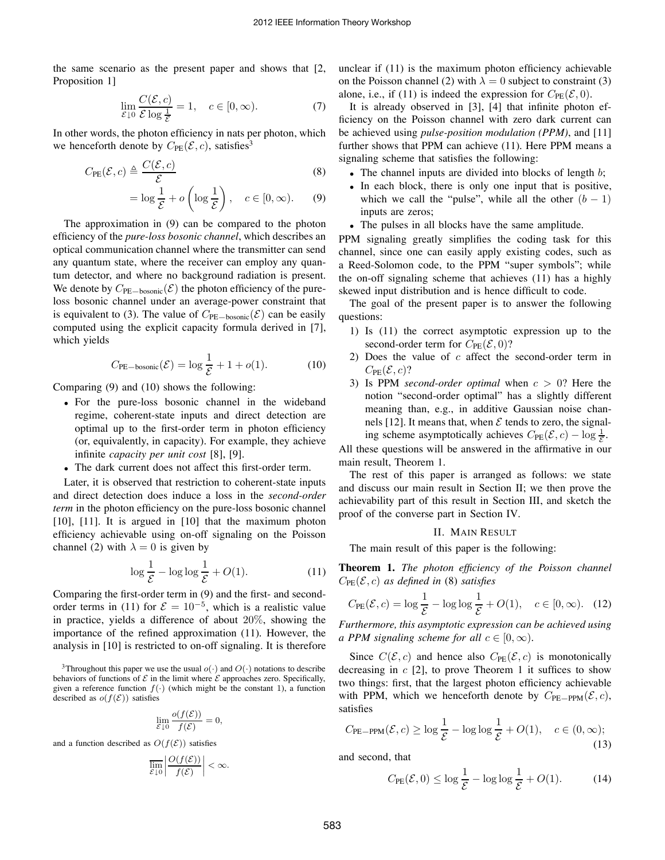the same scenario as the present paper and shows that [2, Proposition 1]

$$
\lim_{\mathcal{E}\downarrow 0} \frac{C(\mathcal{E}, c)}{\mathcal{E}\log\frac{1}{\mathcal{E}}} = 1, \quad c \in [0, \infty). \tag{7}
$$

In other words, the photon efficiency in nats per photon, which we henceforth denote by  $C_{PE}(\mathcal{E}, c)$ , satisfies<sup>3</sup>

$$
C_{\text{PE}}(\mathcal{E}, c) \triangleq \frac{C(\mathcal{E}, c)}{\mathcal{E}}
$$
 (8)

$$
= \log \frac{1}{\mathcal{E}} + o\left(\log \frac{1}{\mathcal{E}}\right), \quad c \in [0, \infty). \tag{9}
$$

The approximation in (9) can be compared to the photon efficiency of the *pure-loss bosonic channel*, which describes an optical communication channel where the transmitter can send any quantum state, where the receiver can employ any quantum detector, and where no background radiation is present. We denote by  $C_{\text{PE}-\text{bosonic}}(\mathcal{E})$  the photon efficiency of the pureloss bosonic channel under an average-power constraint that is equivalent to (3). The value of  $C_{\text{PE}-\text{bosonic}}(\mathcal{E})$  can be easily computed using the explicit capacity formula derived in [7], which yields

$$
C_{\text{PE-bosonic}}(\mathcal{E}) = \log \frac{1}{\mathcal{E}} + 1 + o(1). \tag{10}
$$

Comparing (9) and (10) shows the following:

- For the pure-loss bosonic channel in the wideband regime, coherent-state inputs and direct detection are optimal up to the first-order term in photon efficiency (or, equivalently, in capacity). For example, they achieve infinite *capacity per unit cost* [8], [9].
- The dark current does not affect this first-order term.

Later, it is observed that restriction to coherent-state inputs and direct detection does induce a loss in the *second-order term* in the photon efficiency on the pure-loss bosonic channel [10], [11]. It is argued in [10] that the maximum photon efficiency achievable using on-off signaling on the Poisson channel (2) with  $\lambda = 0$  is given by

$$
\log \frac{1}{\mathcal{E}} - \log \log \frac{1}{\mathcal{E}} + O(1). \tag{11}
$$

Comparing the first-order term in (9) and the first- and secondorder terms in (11) for  $\mathcal{E} = 10^{-5}$ , which is a realistic value in practice, yields a difference of about 20%, showing the importance of the refined approximation (11). However, the analysis in [10] is restricted to on-off signaling. It is therefore

$$
\lim_{\mathcal{E}\downarrow 0} \frac{o(f(\mathcal{E}))}{f(\mathcal{E})} = 0,
$$

and a function described as  $O(f(\mathcal{E}))$  satisfies

$$
\overline{\lim_{\mathcal{E}\downarrow 0}}\left|\frac{O(f(\mathcal{E}))}{f(\mathcal{E})}\right|<\infty.
$$

unclear if (11) is the maximum photon efficiency achievable on the Poisson channel (2) with  $\lambda = 0$  subject to constraint (3) alone, i.e., if (11) is indeed the expression for  $C_{PE}(\mathcal{E}, 0)$ .

It is already observed in [3], [4] that infinite photon efficiency on the Poisson channel with zero dark current can be achieved using *pulse-position modulation (PPM)*, and [11] further shows that PPM can achieve (11). Here PPM means a signaling scheme that satisfies the following:

- The channel inputs are divided into blocks of length  $b$ ;
- In each block, there is only one input that is positive, which we call the "pulse", while all the other  $(b - 1)$ inputs are zeros;
- The pulses in all blocks have the same amplitude.

PPM signaling greatly simplifies the coding task for this channel, since one can easily apply existing codes, such as a Reed-Solomon code, to the PPM "super symbols"; while the on-off signaling scheme that achieves (11) has a highly skewed input distribution and is hence difficult to code.

The goal of the present paper is to answer the following questions:

- 1) Is (11) the correct asymptotic expression up to the second-order term for  $C_{PE}(\mathcal{E}, 0)$ ?
- 2) Does the value of  $c$  affect the second-order term in  $C_{PE}(\mathcal{E}, c)$ ?
- 3) Is PPM *second-order optimal* when  $c > 0$ ? Here the notion "second-order optimal" has a slightly different meaning than, e.g., in additive Gaussian noise channels [12]. It means that, when  $\mathcal E$  tends to zero, the signaling scheme asymptotically achieves  $C_{PE}(\mathcal{E}, c) - \log \frac{1}{\mathcal{E}}$ .

All these questions will be answered in the affirmative in our main result, Theorem 1.

The rest of this paper is arranged as follows: we state and discuss our main result in Section II; we then prove the achievability part of this result in Section III, and sketch the proof of the converse part in Section IV.

## II. MAIN RESULT

The main result of this paper is the following:

**Theorem 1.** *The photon efficiency of the Poisson channel*  $C_{\text{PE}}(\mathcal{E}, c)$  *as defined in* (8) *satisfies* 

$$
C_{\text{PE}}(\mathcal{E}, c) = \log \frac{1}{\mathcal{E}} - \log \log \frac{1}{\mathcal{E}} + O(1), \quad c \in [0, \infty). \quad (12)
$$

*Furthermore, this asymptotic expression can be achieved using a PPM signaling scheme for all*  $c \in [0, \infty)$ .

Since  $C(\mathcal{E}, c)$  and hence also  $C_{PE}(\mathcal{E}, c)$  is monotonically decreasing in  $c$  [2], to prove Theorem 1 it suffices to show two things: first, that the largest photon efficiency achievable with PPM, which we henceforth denote by  $C_{PE-PPM}(\mathcal{E}, c)$ , satisfies

$$
C_{\text{PE-PPM}}(\mathcal{E}, c) \ge \log \frac{1}{\mathcal{E}} - \log \log \frac{1}{\mathcal{E}} + O(1), \quad c \in (0, \infty); \tag{13}
$$

and second, that

$$
C_{\rm PE}(\mathcal{E}, 0) \le \log \frac{1}{\mathcal{E}} - \log \log \frac{1}{\mathcal{E}} + O(1). \tag{14}
$$

<sup>&</sup>lt;sup>3</sup>Throughout this paper we use the usual  $o(·)$  and  $O(·)$  notations to describe behaviors of functions of  $\mathcal E$  in the limit where  $\mathcal E$  approaches zero. Specifically, given a reference function  $f(\cdot)$  (which might be the constant 1), a function described as  $o(f(\mathcal{E}))$  satisfies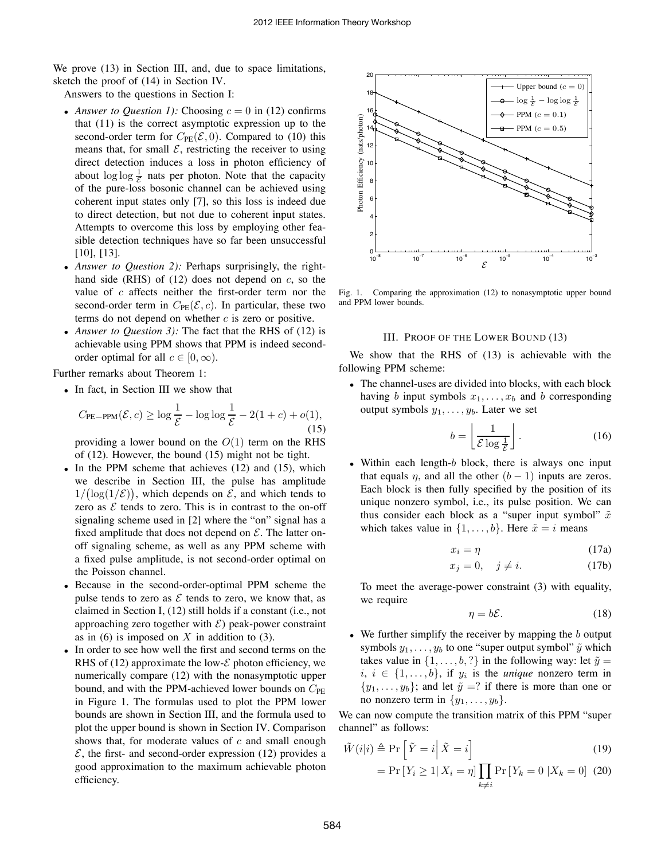We prove  $(13)$  in Section III, and, due to space limitations, sketch the proof of (14) in Section IV.

Answers to the questions in Section I:

- *Answer to Question 1):* Choosing  $c = 0$  in (12) confirms that (11) is the correct asymptotic expression up to the second-order term for  $C_{PE}(\mathcal{E}, 0)$ . Compared to (10) this means that, for small  $\mathcal{E}$ , restricting the receiver to using direct detection induces a loss in photon efficiency of about  $\log \log \frac{1}{\mathcal{E}}$  nats per photon. Note that the capacity of the pure-loss bosonic channel can be achieved using coherent input states only [7], so this loss is indeed due to direct detection, but not due to coherent input states. Attempts to overcome this loss by employing other feasible detection techniques have so far been unsuccessful [10], [13].
- *Answer to Question 2):* Perhaps surprisingly, the righthand side (RHS) of  $(12)$  does not depend on  $c$ , so the value of  $c$  affects neither the first-order term nor the second-order term in  $C_{PE}(\mathcal{E}, c)$ . In particular, these two terms do not depend on whether  $c$  is zero or positive.
- *Answer to Question 3*): The fact that the RHS of (12) is achievable using PPM shows that PPM is indeed secondorder optimal for all  $c \in [0, \infty)$ .

Further remarks about Theorem 1:

• In fact, in Section III we show that

$$
C_{\text{PE-PPM}}(\mathcal{E}, c) \ge \log \frac{1}{\mathcal{E}} - \log \log \frac{1}{\mathcal{E}} - 2(1+c) + o(1),\tag{15}
$$

providing a lower bound on the  $O(1)$  term on the RHS of (12). However, the bound (15) might not be tight.

- In the PPM scheme that achieves (12) and (15), which we describe in Section III, the pulse has amplitude  $1/(\log(1/\mathcal{E}))$ , which depends on  $\mathcal{E}$ , and which tends to zero as  $\mathcal E$  tends to zero. This is in contrast to the on-off signaling scheme used in [2] where the "on" signal has a fixed amplitude that does not depend on  $\mathcal{E}$ . The latter onoff signaling scheme, as well as any PPM scheme with a fixed pulse amplitude, is not second-order optimal on the Poisson channel.
- Because in the second-order-optimal PPM scheme the pulse tends to zero as  $\mathcal E$  tends to zero, we know that, as claimed in Section I, (12) still holds if a constant (i.e., not approaching zero together with  $\mathcal{E}$ ) peak-power constraint as in  $(6)$  is imposed on X in addition to  $(3)$ .
- In order to see how well the first and second terms on the RHS of (12) approximate the low- $\mathcal E$  photon efficiency, we numerically compare (12) with the nonasymptotic upper bound, and with the PPM-achieved lower bounds on  $C_{PE}$ in Figure 1. The formulas used to plot the PPM lower bounds are shown in Section III, and the formula used to plot the upper bound is shown in Section IV. Comparison shows that, for moderate values of  $c$  and small enough  $\mathcal{E}$ , the first- and second-order expression (12) provides a good approximation to the maximum achievable photon efficiency.



Fig. 1. Comparing the approximation (12) to nonasymptotic upper bound and PPM lower bounds.

## III. PROOF OF THE LOWER BOUND (13)

We show that the RHS of (13) is achievable with the following PPM scheme:

• The channel-uses are divided into blocks, with each block having b input symbols  $x_1, \ldots, x_b$  and b corresponding output symbols  $y_1, \ldots, y_b$ . Later we set

$$
b = \left\lfloor \frac{1}{\mathcal{E} \log \frac{1}{\mathcal{E}}} \right\rfloor. \tag{16}
$$

• Within each length- $b$  block, there is always one input that equals  $\eta$ , and all the other  $(b - 1)$  inputs are zeros. Each block is then fully specified by the position of its unique nonzero symbol, i.e., its pulse position. We can thus consider each block as a "super input symbol"  $\tilde{x}$ which takes value in  $\{1, \ldots, b\}$ . Here  $\tilde{x} = i$  means

$$
x_i = \eta \tag{17a}
$$

$$
x_j = 0, \quad j \neq i. \tag{17b}
$$

To meet the average-power constraint (3) with equality, we require

$$
\eta = b\mathcal{E}.\tag{18}
$$

• We further simplify the receiver by mapping the  $b$  output symbols  $y_1, \ldots, y_b$  to one "super output symbol"  $\tilde{y}$  which takes value in  $\{1, \ldots, b, ?\}$  in the following way: let  $\tilde{y} =$  $i, i \in \{1, \ldots, b\},$  if  $y_i$  is the *unique* nonzero term in  $\{y_1, \ldots, y_b\}$ ; and let  $\tilde{y} = ?$  if there is more than one or no nonzero term in  $\{y_1, \ldots, y_b\}.$ 

We can now compute the transition matrix of this PPM "super channel" as follows:

$$
\tilde{W}(i|i) \triangleq \Pr\left[\tilde{Y} = i \middle| \tilde{X} = i\right]
$$
\n(19)

$$
= \Pr\left[Y_i \ge 1 | X_i = \eta\right] \prod_{k \ne i} \Pr\left[Y_k = 0 | X_k = 0\right] \tag{20}
$$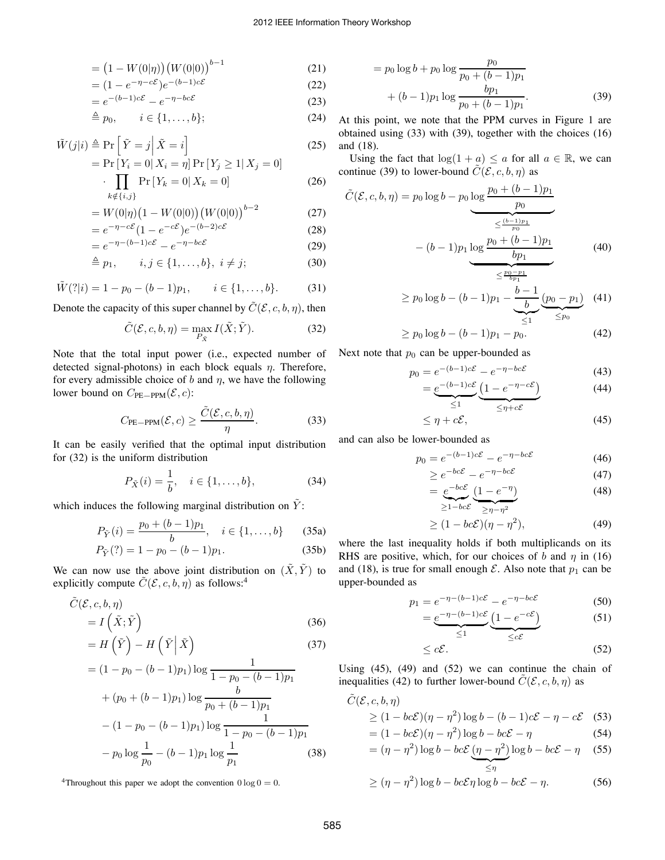$$
= (1 - W(0|\eta)) (W(0|0))^{b-1}
$$
 (21)

$$
= (1 - e^{-\eta - c\mathcal{E}})e^{-(b-1)c\mathcal{E}}
$$
\n(22)

$$
=e^{-(b-1)c\mathcal{E}}-e^{-\eta-bc\mathcal{E}} \tag{23}
$$

$$
\stackrel{\Delta}{=} p_0, \qquad i \in \{1, \dots, b\};\tag{24}
$$

$$
\tilde{W}(j|i) \triangleq \Pr\left[\tilde{Y} = j \middle| \tilde{X} = i\right]
$$
\n
$$
\Pr\left[\tilde{Y} = j \middle| \tilde{X} = i\right]
$$
\n
$$
\Pr\left\{Y = 0 | \mathbf{Y} = j \Pr\{Y > 1 | \mathbf{Y} = 0\}}\right] \tag{25}
$$

$$
= \Pr[Y_i = 0 | X_i = \eta] \Pr[Y_j \ge 1 | X_j = 0]
$$

$$
\cdot \prod_{i=1}^{n} \Pr[Y_k = 0 | X_k = 0]
$$

$$
\cdot \prod_{k \notin \{i,j\}} \Pr\left[Y_k = 0 \middle| X_k = 0\right] \tag{26}
$$

$$
= W(0|\eta) \left(1 - W(0|0)\right) \left(W(0|0)\right)^{b-2} \tag{27}
$$

$$
= e^{-\eta - c\mathcal{E}} (1 - e^{-c\mathcal{E}}) e^{-(b-2)c\mathcal{E}}
$$
(28)

$$
= e^{-\eta - (b-1)c\mathcal{E}} - e^{-\eta - bc\mathcal{E}}
$$
 (29)

$$
\stackrel{\Delta}{=} p_1, \qquad i, j \in \{1, \ldots, b\}, \ i \neq j; \tag{30}
$$

$$
\tilde{W}(?|i) = 1 - p_0 - (b - 1)p_1, \qquad i \in \{1, ..., b\}.
$$
 (31)

Denote the capacity of this super channel by  $\tilde{C}(\mathcal{E}, c, b, \eta)$ , then

$$
\tilde{C}(\mathcal{E}, c, b, \eta) = \max_{P_{\tilde{X}}} I(\tilde{X}; \tilde{Y}).
$$
\n(32)

Note that the total input power (i.e., expected number of detected signal-photons) in each block equals  $\eta$ . Therefore, for every admissible choice of b and  $\eta$ , we have the following lower bound on  $C_{\text{PE-PPM}}(\mathcal{E}, c)$ :

$$
C_{\text{PE-PPM}}(\mathcal{E}, c) \ge \frac{\tilde{C}(\mathcal{E}, c, b, \eta)}{\eta}.
$$
 (33)

It can be easily verified that the optimal input distribution for (32) is the uniform distribution

$$
P_{\tilde{X}}(i) = \frac{1}{b}, \quad i \in \{1, \dots, b\},
$$
 (34)

which induces the following marginal distribution on  $\tilde{Y}$ :

$$
P_{\tilde{Y}}(i) = \frac{p_0 + (b-1)p_1}{b}, \quad i \in \{1, \dots, b\}
$$
 (35a)

$$
P_{\tilde{Y}}(?) = 1 - p_0 - (b - 1)p_1.
$$
 (35b)

We can now use the above joint distribution on  $(\tilde{X}, \tilde{Y})$  to explicitly compute  $\tilde{C}(\mathcal{E}, c, b, \eta)$  as follows:<sup>4</sup>

$$
\tilde{C}(\mathcal{E}, c, b, \eta) = I(\tilde{X}; \tilde{Y})
$$
\n
$$
= H(\tilde{Y}) - H(\tilde{Y} | \tilde{X})
$$
\n(36)\n(37)

$$
= H\left(\tilde{Y}\right) - H\left(\tilde{Y}\middle|\tilde{X}\right) \tag{37}
$$
\n
$$
= (1 - p_0 - (b - 1)p_1) \log \frac{1}{1 - p_0 - (b - 1)p_1}
$$
\n
$$
+ (p_0 + (b - 1)p_1) \log \frac{b}{p_0 + (b - 1)p_1}
$$
\n
$$
- (1 - p_0 - (b - 1)p_1) \log \frac{1}{1 - p_0 - (b - 1)p_1}
$$
\n
$$
- p_0 \log \frac{1}{p_0} - (b - 1)p_1 \log \frac{1}{p_1} \tag{38}
$$

<sup>4</sup>Throughout this paper we adopt the convention  $0 \log 0 = 0$ .

$$
= p_0 \log b + p_0 \log \frac{p_0}{p_0 + (b-1)p_1} + (b-1)p_1 \log \frac{bp_1}{p_0 + (b-1)p_1}.
$$
 (39)

At this point, we note that the PPM curves in Figure 1 are obtained using (33) with (39), together with the choices (16) and (18).

Using the fact that  $\log(1 + a) \le a$  for all  $a \in \mathbb{R}$ , we can continue (39) to lower-bound  $\tilde{C}(\mathcal{E}, c, b, \eta)$  as

$$
\tilde{C}(\mathcal{E}, c, b, \eta) = p_0 \log b - p_0 \log \frac{p_0 + (b - 1)p_1}{p_0}
$$
\n
$$
= \underbrace{(b - 1)p_1 \log \frac{p_0 + (b - 1)p_1}{p_0}}_{\leq \frac{p_0 - p_1}{p_0}}
$$
\n(40)

$$
\geq p_0 \log b - (b-1)p_1 - \underbrace{\underbrace{b-1}_{b} (p_0 - p_1)}_{\leq 1} (41)
$$

$$
\geq p_0 \log b - (b-1)p_1 - p_0. \tag{42}
$$

Next note that  $p_0$  can be upper-bounded as

$$
p_0 = e^{-(b-1)c\mathcal{E}} - e^{-\eta - bc\mathcal{E}}
$$
 (43)

$$
= \underbrace{e^{-(b-1)c\mathcal{E}}}_{\leq 1} \underbrace{(1 - e^{-\eta - c\mathcal{E}})}_{\leq n + c\mathcal{E}} \tag{44}
$$

$$
\leq \eta + c\mathcal{E},\tag{45}
$$

and can also be lower-bounded as

$$
p_0 = e^{-(b-1)c\mathcal{E}} - e^{-\eta - bc\mathcal{E}}
$$
 (46)

$$
\geq e^{-bc\mathcal{E}} - e^{-\eta - bc\mathcal{E}} \tag{47}
$$

$$
= e^{-bc \mathcal{E}} \underbrace{(1 - e^{-\eta})}_{\geq 1 - bc \mathcal{E}} \tag{48}
$$

$$
\geq (1 - bc\mathcal{E})(\eta - \eta^2),\tag{49}
$$

where the last inequality holds if both multiplicands on its RHS are positive, which, for our choices of b and  $\eta$  in (16) and (18), is true for small enough  $\mathcal E$ . Also note that  $p_1$  can be upper-bounded as

$$
p_1 = e^{-\eta - (b-1)c\mathcal{E}} - e^{-\eta - bc\mathcal{E}}
$$
 (50)

$$
= \underbrace{e^{-\eta - (b-1)c\mathcal{E}}}_{\leq 1} \underbrace{(1 - e^{-c\mathcal{E}})}_{\leq c\mathcal{E}} \tag{51}
$$

$$
\leq c\mathcal{E}.\tag{52}
$$

Using  $(45)$ ,  $(49)$  and  $(52)$  we can continue the chain of inequalities (42) to further lower-bound  $\tilde{C}(\mathcal{E}, c, b, \eta)$  as

$$
\tilde{C}(\mathcal{E}, c, b, \eta) \ge (1 - bc\mathcal{E})(\eta - \eta^2) \log b - (b - 1)c\mathcal{E} - \eta - c\mathcal{E}
$$
(53)  
=  $(1 - bc\mathcal{E})(\eta - \eta^2) \log b - bc\mathcal{E} - \eta$  (54)

$$
= (\eta - \eta^2) \log b - bc \mathcal{E} \left( \eta - \eta^2 \right) \log b - bc \mathcal{E} - \eta \quad (55)
$$

$$
\geq (\eta - \eta^2) \log b - bc\mathcal{E}\eta \log b - bc\mathcal{E} - \eta.
$$
 (56)